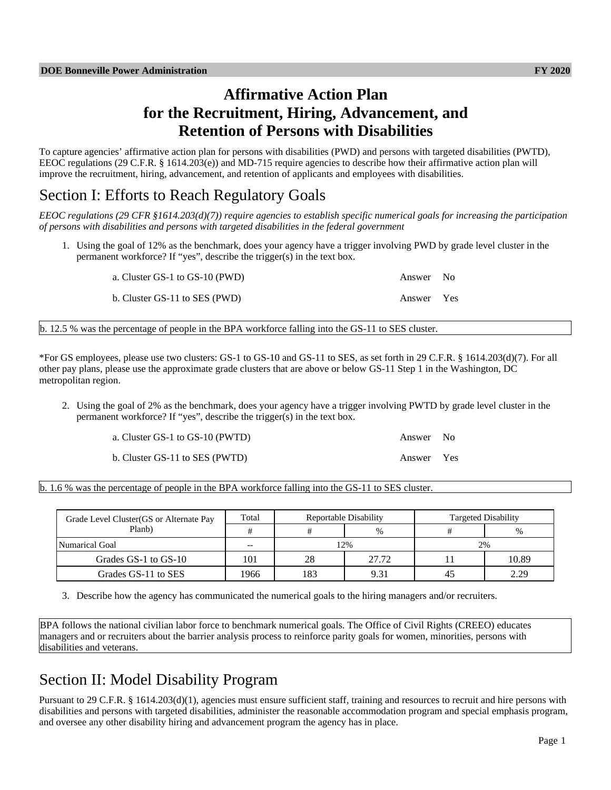# **Affirmative Action Plan for the Recruitment, Hiring, Advancement, and Retention of Persons with Disabilities**

To capture agencies' affirmative action plan for persons with disabilities (PWD) and persons with targeted disabilities (PWTD), EEOC regulations (29 C.F.R. § 1614.203(e)) and MD-715 require agencies to describe how their affirmative action plan will improve the recruitment, hiring, advancement, and retention of applicants and employees with disabilities.

# Section I: Efforts to Reach Regulatory Goals

*EEOC regulations (29 CFR §1614.203(d)(7)) require agencies to establish specific numerical goals for increasing the participation of persons with disabilities and persons with targeted disabilities in the federal government*

1. Using the goal of 12% as the benchmark, does your agency have a trigger involving PWD by grade level cluster in the permanent workforce? If "yes", describe the trigger(s) in the text box.

| a. Cluster GS-1 to GS-10 (PWD) | Answer No  |  |
|--------------------------------|------------|--|
| b. Cluster GS-11 to SES (PWD)  | Answer Yes |  |

b. 12.5 % was the percentage of people in the BPA workforce falling into the GS-11 to SES cluster.

\*For GS employees, please use two clusters: GS-1 to GS-10 and GS-11 to SES, as set forth in 29 C.F.R. § 1614.203(d)(7). For all other pay plans, please use the approximate grade clusters that are above or below GS-11 Step 1 in the Washington, DC metropolitan region.

2. Using the goal of 2% as the benchmark, does your agency have a trigger involving PWTD by grade level cluster in the permanent workforce? If "yes", describe the trigger(s) in the text box.

| a. Cluster GS-1 to GS-10 (PWTD) | Answer No  |  |
|---------------------------------|------------|--|
| b. Cluster GS-11 to SES (PWTD)  | Answer Yes |  |

b. 1.6 % was the percentage of people in the BPA workforce falling into the GS-11 to SES cluster.

| Grade Level Cluster (GS or Alternate Pay<br>Planb) | Total | Reportable Disability |       | <b>Targeted Disability</b> |       |  |
|----------------------------------------------------|-------|-----------------------|-------|----------------------------|-------|--|
|                                                    |       |                       | $\%$  |                            | %     |  |
| Numarical Goal                                     | $- -$ | 2%                    |       | 2%                         |       |  |
| Grades GS-1 to GS-10                               | 101   | 28                    | 27.72 |                            | 10.89 |  |
| Grades GS-11 to SES                                | 1966  | 183                   | 9.31  | 4.                         | 2.29  |  |

3. Describe how the agency has communicated the numerical goals to the hiring managers and/or recruiters.

BPA follows the national civilian labor force to benchmark numerical goals. The Office of Civil Rights (CREEO) educates managers and or recruiters about the barrier analysis process to reinforce parity goals for women, minorities, persons with disabilities and veterans.

# Section II: Model Disability Program

Pursuant to 29 C.F.R. § 1614.203(d)(1), agencies must ensure sufficient staff, training and resources to recruit and hire persons with disabilities and persons with targeted disabilities, administer the reasonable accommodation program and special emphasis program, and oversee any other disability hiring and advancement program the agency has in place.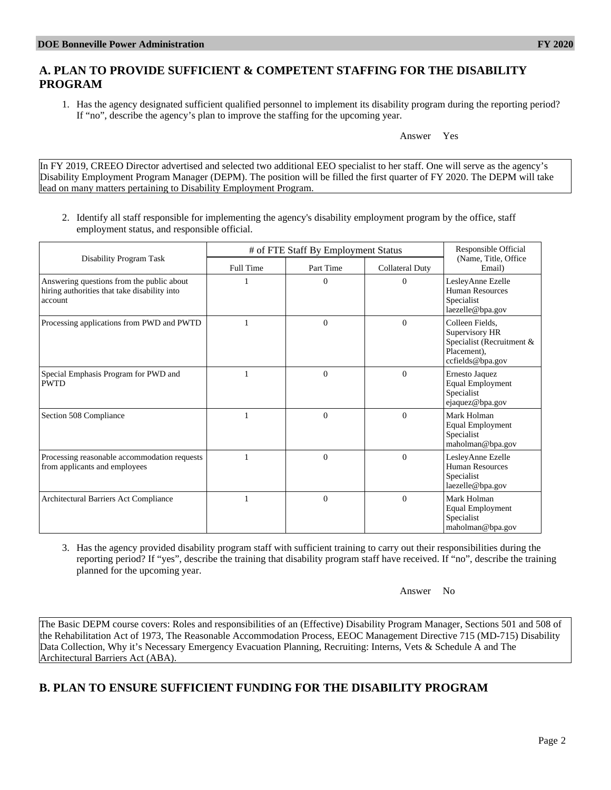# **A. PLAN TO PROVIDE SUFFICIENT & COMPETENT STAFFING FOR THE DISABILITY PROGRAM**

1. Has the agency designated sufficient qualified personnel to implement its disability program during the reporting period? If "no", describe the agency's plan to improve the staffing for the upcoming year.

#### Answer Yes

In FY 2019, CREEO Director advertised and selected two additional EEO specialist to her staff. One will serve as the agency's Disability Employment Program Manager (DEPM). The position will be filled the first quarter of FY 2020. The DEPM will take lead on many matters pertaining to Disability Employment Program.

2. Identify all staff responsible for implementing the agency's disability employment program by the office, staff employment status, and responsible official.

|                                                                                                      | # of FTE Staff By Employment Status | Responsible Official |                        |                                                                                                   |
|------------------------------------------------------------------------------------------------------|-------------------------------------|----------------------|------------------------|---------------------------------------------------------------------------------------------------|
| Disability Program Task                                                                              | Full Time                           | Part Time            | <b>Collateral Duty</b> | (Name, Title, Office)<br>Email)                                                                   |
| Answering questions from the public about<br>hiring authorities that take disability into<br>account |                                     | $\Omega$             | $\overline{0}$         | LesleyAnne Ezelle<br>Human Resources<br>Specialist<br>laezelle@bpa.gov                            |
| Processing applications from PWD and PWTD                                                            |                                     | $\Omega$             | $\theta$               | Colleen Fields,<br>Supervisory HR<br>Specialist (Recruitment &<br>Placement).<br>ccfields@bpa.gov |
| Special Emphasis Program for PWD and<br><b>PWTD</b>                                                  |                                     | $\Omega$             | $\Omega$               | Ernesto Jaquez<br><b>Equal Employment</b><br>Specialist<br>ejaquez@bpa.gov                        |
| Section 508 Compliance                                                                               |                                     | $\Omega$             | $\theta$               | Mark Holman<br><b>Equal Employment</b><br>Specialist<br>maholman@bpa.gov                          |
| Processing reasonable accommodation requests<br>from applicants and employees                        |                                     | $\Omega$             | $\theta$               | LesleyAnne Ezelle<br>Human Resources<br>Specialist<br>laezelle@bpa.gov                            |
| Architectural Barriers Act Compliance                                                                |                                     | $\Omega$             | $\Omega$               | Mark Holman<br><b>Equal Employment</b><br>Specialist<br>maholman@bpa.gov                          |

3. Has the agency provided disability program staff with sufficient training to carry out their responsibilities during the reporting period? If "yes", describe the training that disability program staff have received. If "no", describe the training planned for the upcoming year.

Answer No

The Basic DEPM course covers: Roles and responsibilities of an (Effective) Disability Program Manager, Sections 501 and 508 of the Rehabilitation Act of 1973, The Reasonable Accommodation Process, EEOC Management Directive 715 (MD-715) Disability Data Collection, Why it's Necessary Emergency Evacuation Planning, Recruiting: Interns, Vets & Schedule A and The Architectural Barriers Act (ABA).

# **B. PLAN TO ENSURE SUFFICIENT FUNDING FOR THE DISABILITY PROGRAM**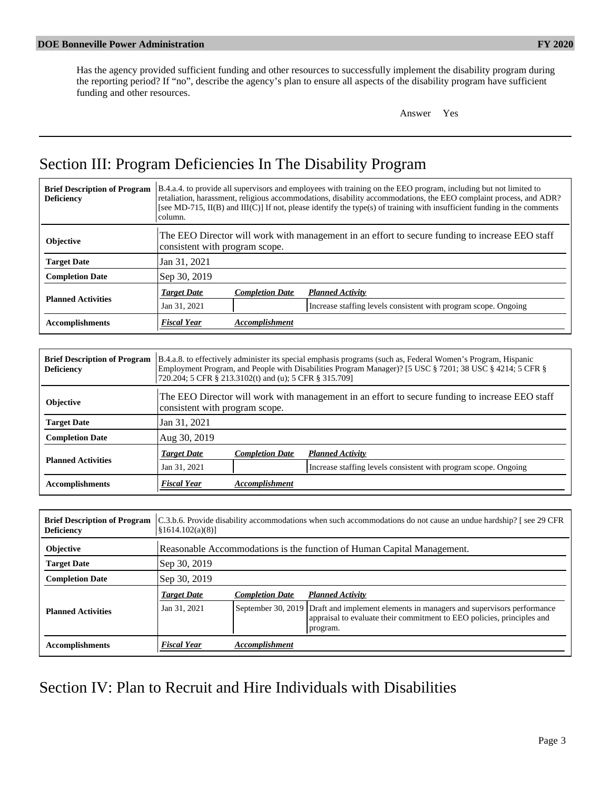Has the agency provided sufficient funding and other resources to successfully implement the disability program during the reporting period? If "no", describe the agency's plan to ensure all aspects of the disability program have sufficient funding and other resources.

Answer Yes

# Section III: Program Deficiencies In The Disability Program

| <b>Brief Description of Program</b><br><b>Deficiency</b> | B.4.a.4. to provide all supervisors and employees with training on the EEO program, including but not limited to<br>retaliation, harassment, religious accommodations, disability accommodations, the EEO complaint process, and ADR?<br>[see MD-715, II(B) and III(C)] If not, please identify the type(s) of training with insufficient funding in the comments<br>column. |                        |                                                                                                 |  |  |
|----------------------------------------------------------|------------------------------------------------------------------------------------------------------------------------------------------------------------------------------------------------------------------------------------------------------------------------------------------------------------------------------------------------------------------------------|------------------------|-------------------------------------------------------------------------------------------------|--|--|
| <b>Objective</b>                                         | consistent with program scope.                                                                                                                                                                                                                                                                                                                                               |                        | The EEO Director will work with management in an effort to secure funding to increase EEO staff |  |  |
| <b>Target Date</b>                                       | Jan 31, 2021                                                                                                                                                                                                                                                                                                                                                                 |                        |                                                                                                 |  |  |
| <b>Completion Date</b>                                   | Sep 30, 2019                                                                                                                                                                                                                                                                                                                                                                 |                        |                                                                                                 |  |  |
| <b>Planned Activities</b>                                | <b>Target Date</b>                                                                                                                                                                                                                                                                                                                                                           | <b>Completion Date</b> | <b>Planned Activity</b>                                                                         |  |  |
|                                                          | Jan 31, 2021                                                                                                                                                                                                                                                                                                                                                                 |                        | Increase staffing levels consistent with program scope. Ongoing                                 |  |  |
| <b>Accomplishments</b>                                   | <b>Fiscal Year</b>                                                                                                                                                                                                                                                                                                                                                           | <b>Accomplishment</b>  |                                                                                                 |  |  |

| <b>Brief Description of Program</b><br><b>Deficiency</b> | B.4.a.8. to effectively administer its special emphasis programs (such as, Federal Women's Program, Hispanic<br>Employment Program, and People with Disabilities Program Manager)? [5 USC § 7201; 38 USC § 4214; 5 CFR §<br>720.204; 5 CFR § 213.3102(t) and (u); 5 CFR § 315.709] |                              |                                                                                                 |  |  |  |
|----------------------------------------------------------|------------------------------------------------------------------------------------------------------------------------------------------------------------------------------------------------------------------------------------------------------------------------------------|------------------------------|-------------------------------------------------------------------------------------------------|--|--|--|
| Objective                                                | consistent with program scope.                                                                                                                                                                                                                                                     |                              | The EEO Director will work with management in an effort to secure funding to increase EEO staff |  |  |  |
| <b>Target Date</b>                                       | Jan 31, 2021                                                                                                                                                                                                                                                                       |                              |                                                                                                 |  |  |  |
| <b>Completion Date</b>                                   | Aug 30, 2019                                                                                                                                                                                                                                                                       |                              |                                                                                                 |  |  |  |
|                                                          | <b>Target Date</b>                                                                                                                                                                                                                                                                 | <b>Completion Date</b>       | <b>Planned Activity</b>                                                                         |  |  |  |
| <b>Planned Activities</b>                                | Jan 31, 2021                                                                                                                                                                                                                                                                       |                              | Increase staffing levels consistent with program scope. Ongoing                                 |  |  |  |
| <b>Accomplishments</b>                                   | <b>Fiscal Year</b>                                                                                                                                                                                                                                                                 | <i><b>Accomplishment</b></i> |                                                                                                 |  |  |  |

| <b>Brief Description of Program</b><br><b>Deficiency</b> | $\frac{81614.102(a)(8)}{ }$ | C.3.b.6. Provide disability accommodations when such accommodations do not cause an undue hardship? [see 29 CFR |                                                                                                                                                            |  |  |  |  |
|----------------------------------------------------------|-----------------------------|-----------------------------------------------------------------------------------------------------------------|------------------------------------------------------------------------------------------------------------------------------------------------------------|--|--|--|--|
| Objective                                                |                             |                                                                                                                 | Reasonable Accommodations is the function of Human Capital Management.                                                                                     |  |  |  |  |
| <b>Target Date</b>                                       | Sep 30, 2019                |                                                                                                                 |                                                                                                                                                            |  |  |  |  |
| <b>Completion Date</b>                                   | Sep 30, 2019                |                                                                                                                 |                                                                                                                                                            |  |  |  |  |
|                                                          | <b>Target Date</b>          | <b>Completion Date</b>                                                                                          | <b>Planned Activity</b>                                                                                                                                    |  |  |  |  |
| <b>Planned Activities</b>                                | Jan 31, 2021                | September 30, 2019                                                                                              | Draft and implement elements in managers and supervisors performance<br>appraisal to evaluate their commitment to EEO policies, principles and<br>program. |  |  |  |  |
| <b>Accomplishments</b>                                   | <b>Fiscal Year</b>          | <b>Accomplishment</b>                                                                                           |                                                                                                                                                            |  |  |  |  |

# Section IV: Plan to Recruit and Hire Individuals with Disabilities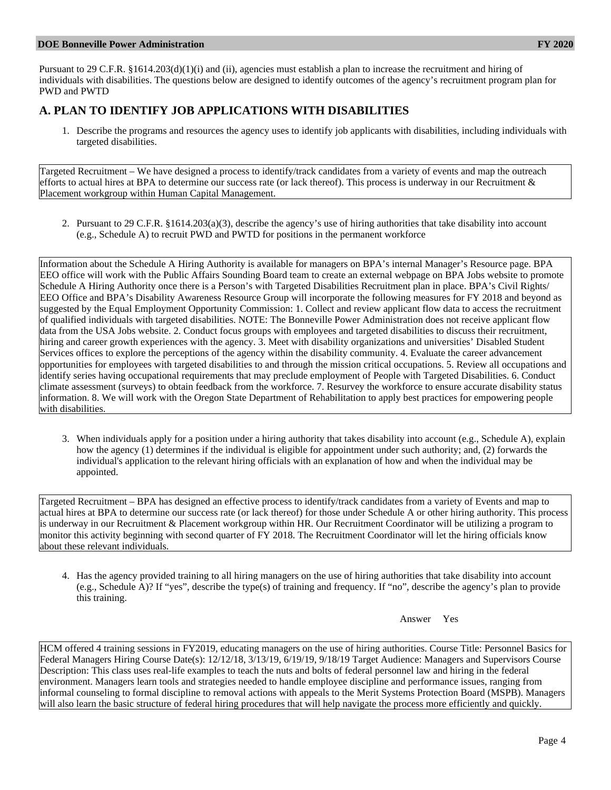#### **DOE Bonneville Power Administration FY 2020**

Pursuant to 29 C.F.R. §1614.203(d)(1)(i) and (ii), agencies must establish a plan to increase the recruitment and hiring of individuals with disabilities. The questions below are designed to identify outcomes of the agency's recruitment program plan for PWD and PWTD

## **A. PLAN TO IDENTIFY JOB APPLICATIONS WITH DISABILITIES**

1. Describe the programs and resources the agency uses to identify job applicants with disabilities, including individuals with targeted disabilities.

Targeted Recruitment – We have designed a process to identify/track candidates from a variety of events and map the outreach efforts to actual hires at BPA to determine our success rate (or lack thereof). This process is underway in our Recruitment & Placement workgroup within Human Capital Management.

2. Pursuant to 29 C.F.R. §1614.203(a)(3), describe the agency's use of hiring authorities that take disability into account (e.g., Schedule A) to recruit PWD and PWTD for positions in the permanent workforce

Information about the Schedule A Hiring Authority is available for managers on BPA's internal Manager's Resource page. BPA EEO office will work with the Public Affairs Sounding Board team to create an external webpage on BPA Jobs website to promote Schedule A Hiring Authority once there is a Person's with Targeted Disabilities Recruitment plan in place. BPA's Civil Rights/ EEO Office and BPA's Disability Awareness Resource Group will incorporate the following measures for FY 2018 and beyond as suggested by the Equal Employment Opportunity Commission: 1. Collect and review applicant flow data to access the recruitment of qualified individuals with targeted disabilities. NOTE: The Bonneville Power Administration does not receive applicant flow data from the USA Jobs website. 2. Conduct focus groups with employees and targeted disabilities to discuss their recruitment, hiring and career growth experiences with the agency. 3. Meet with disability organizations and universities' Disabled Student Services offices to explore the perceptions of the agency within the disability community. 4. Evaluate the career advancement opportunities for employees with targeted disabilities to and through the mission critical occupations. 5. Review all occupations and identify series having occupational requirements that may preclude employment of People with Targeted Disabilities. 6. Conduct climate assessment (surveys) to obtain feedback from the workforce. 7. Resurvey the workforce to ensure accurate disability status information. 8. We will work with the Oregon State Department of Rehabilitation to apply best practices for empowering people with disabilities.

3. When individuals apply for a position under a hiring authority that takes disability into account (e.g., Schedule A), explain how the agency (1) determines if the individual is eligible for appointment under such authority; and, (2) forwards the individual's application to the relevant hiring officials with an explanation of how and when the individual may be appointed.

Targeted Recruitment – BPA has designed an effective process to identify/track candidates from a variety of Events and map to actual hires at BPA to determine our success rate (or lack thereof) for those under Schedule A or other hiring authority. This process is underway in our Recruitment & Placement workgroup within HR. Our Recruitment Coordinator will be utilizing a program to monitor this activity beginning with second quarter of FY 2018. The Recruitment Coordinator will let the hiring officials know about these relevant individuals.

4. Has the agency provided training to all hiring managers on the use of hiring authorities that take disability into account (e.g., Schedule A)? If "yes", describe the type(s) of training and frequency. If "no", describe the agency's plan to provide this training.

Answer Yes

HCM offered 4 training sessions in FY2019, educating managers on the use of hiring authorities. Course Title: Personnel Basics for Federal Managers Hiring Course Date(s): 12/12/18, 3/13/19, 6/19/19, 9/18/19 Target Audience: Managers and Supervisors Course Description: This class uses real-life examples to teach the nuts and bolts of federal personnel law and hiring in the federal environment. Managers learn tools and strategies needed to handle employee discipline and performance issues, ranging from informal counseling to formal discipline to removal actions with appeals to the Merit Systems Protection Board (MSPB). Managers will also learn the basic structure of federal hiring procedures that will help navigate the process more efficiently and quickly.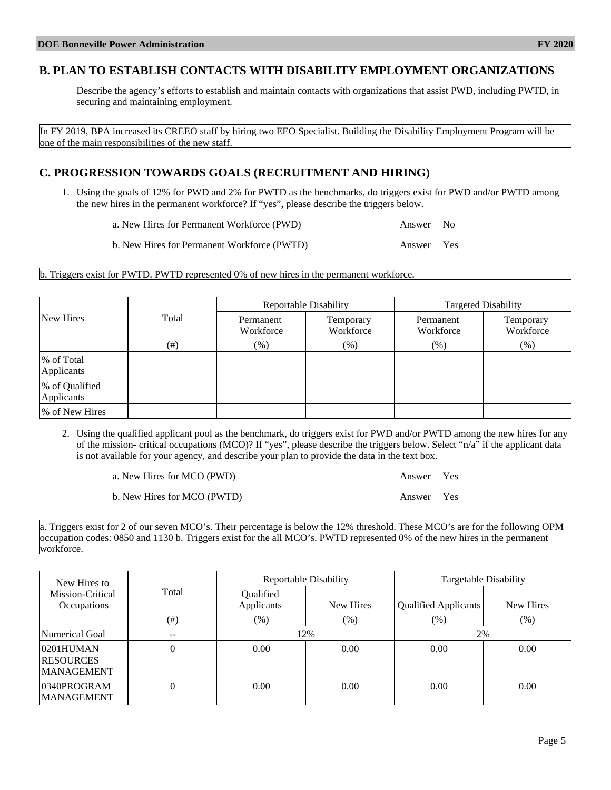## **B. PLAN TO ESTABLISH CONTACTS WITH DISABILITY EMPLOYMENT ORGANIZATIONS**

Describe the agency's efforts to establish and maintain contacts with organizations that assist PWD, including PWTD, in securing and maintaining employment.

In FY 2019, BPA increased its CREEO staff by hiring two EEO Specialist. Building the Disability Employment Program will be one of the main responsibilities of the new staff.

## **C. PROGRESSION TOWARDS GOALS (RECRUITMENT AND HIRING)**

1. Using the goals of 12% for PWD and 2% for PWTD as the benchmarks, do triggers exist for PWD and/or PWTD among the new hires in the permanent workforce? If "yes", please describe the triggers below.

a. New Hires for Permanent Workforce (PWD) Answer No

b. New Hires for Permanent Workforce (PWTD) Answer Yes

#### b. Triggers exist for PWTD. PWTD represented 0% of new hires in the permanent workforce.

|                              |        |                        | Reportable Disability  | <b>Targeted Disability</b> |                        |  |
|------------------------------|--------|------------------------|------------------------|----------------------------|------------------------|--|
| New Hires                    | Total  | Permanent<br>Workforce | Temporary<br>Workforce | Permanent<br>Workforce     | Temporary<br>Workforce |  |
|                              | $(\#)$ | $(\%)$                 | $(\%)$                 | $(\%)$                     | $(\%)$                 |  |
| % of Total<br>Applicants     |        |                        |                        |                            |                        |  |
| % of Qualified<br>Applicants |        |                        |                        |                            |                        |  |
| % of New Hires               |        |                        |                        |                            |                        |  |

2. Using the qualified applicant pool as the benchmark, do triggers exist for PWD and/or PWTD among the new hires for any of the mission- critical occupations (MCO)? If "yes", please describe the triggers below. Select "n/a" if the applicant data is not available for your agency, and describe your plan to provide the data in the text box.

a. New Hires for MCO (PWD) Answer Yes b. New Hires for MCO (PWTD) Answer Yes

a. Triggers exist for 2 of our seven MCO's. Their percentage is below the 12% threshold. These MCO's are for the following OPM occupation codes: 0850 and 1130 b. Triggers exist for the all MCO's. PWTD represented 0% of the new hires in the permanent workforce.

| New Hires to                                       |                          |                         | Reportable Disability | Targetable Disability |           |  |
|----------------------------------------------------|--------------------------|-------------------------|-----------------------|-----------------------|-----------|--|
| Mission-Critical<br>Occupations                    | Total                    | Qualified<br>Applicants | New Hires             | Qualified Applicants  | New Hires |  |
|                                                    | $(\#)$                   | $(\%)$                  | $(\%)$                | $(\%)$                | $(\% )$   |  |
| Numerical Goal                                     | $\overline{\phantom{m}}$ | 12%                     |                       | 2%                    |           |  |
| 0201HUMAN<br><b>RESOURCES</b><br><b>MANAGEMENT</b> | $\overline{0}$           | 0.00                    | 0.00                  | 0.00                  | 0.00      |  |
| 0340PROGRAM<br><b>MANAGEMENT</b>                   | $\overline{0}$           | 0.00                    | 0.00                  | 0.00                  | 0.00      |  |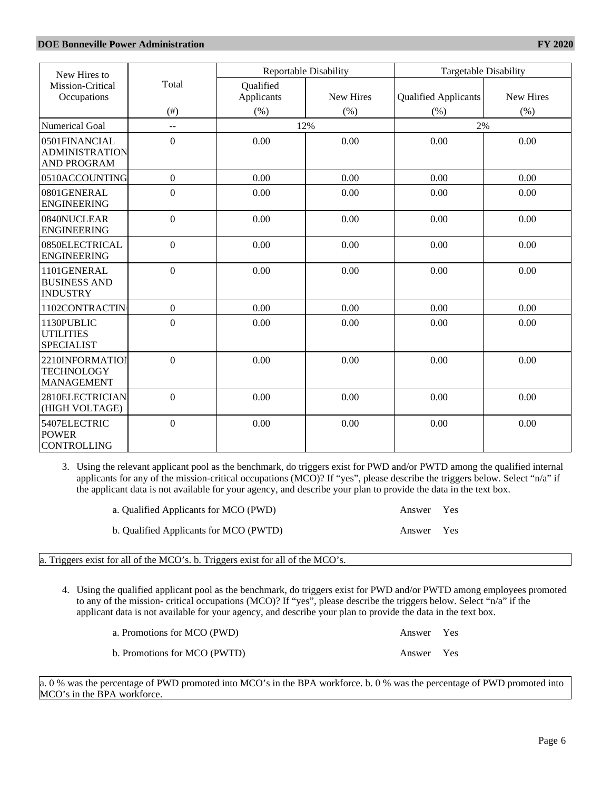| New Hires to                                                 |                  |                         | <b>Reportable Disability</b> |                             | Targetable Disability |  |
|--------------------------------------------------------------|------------------|-------------------------|------------------------------|-----------------------------|-----------------------|--|
| Mission-Critical<br>Occupations                              | Total            | Qualified<br>Applicants | <b>New Hires</b>             | <b>Qualified Applicants</b> | <b>New Hires</b>      |  |
|                                                              | $($ # $)$        | (% )                    | (% )                         | (% )                        | (% )                  |  |
| <b>Numerical Goal</b>                                        | $\sim$ $\sim$    |                         | 12%                          | 2%                          |                       |  |
| 0501FINANCIAL<br><b>ADMINISTRATION</b><br><b>AND PROGRAM</b> | $\boldsymbol{0}$ | 0.00                    | 0.00                         | 0.00                        | 0.00                  |  |
| 0510ACCOUNTING                                               | $\mathbf{0}$     | 0.00                    | 0.00                         | 0.00                        | 0.00                  |  |
| 0801GENERAL<br><b>ENGINEERING</b>                            | $\boldsymbol{0}$ | 0.00                    | 0.00                         | 0.00                        | 0.00                  |  |
| 0840NUCLEAR<br><b>ENGINEERING</b>                            | $\boldsymbol{0}$ | 0.00                    | 0.00                         | 0.00                        | 0.00                  |  |
| 0850ELECTRICAL<br><b>ENGINEERING</b>                         | $\overline{0}$   | 0.00                    | 0.00                         | 0.00                        | 0.00                  |  |
| 1101GENERAL<br><b>BUSINESS AND</b><br><b>INDUSTRY</b>        | $\overline{0}$   | 0.00                    | 0.00                         | 0.00                        | 0.00                  |  |
| 1102CONTRACTIN                                               | $\mathbf{0}$     | 0.00                    | 0.00                         | 0.00                        | 0.00                  |  |
| 1130PUBLIC<br><b>UTILITIES</b><br><b>SPECIALIST</b>          | $\overline{0}$   | 0.00                    | 0.00                         | 0.00                        | 0.00                  |  |
| 2210INFORMATIOI<br><b>TECHNOLOGY</b><br><b>MANAGEMENT</b>    | $\overline{0}$   | 0.00                    | 0.00                         | 0.00                        | 0.00                  |  |
| 2810ELECTRICIAN<br>(HIGH VOLTAGE)                            | $\Omega$         | 0.00                    | 0.00                         | 0.00                        | 0.00                  |  |
| 5407ELECTRIC<br><b>POWER</b><br><b>CONTROLLING</b>           | $\overline{0}$   | 0.00                    | 0.00                         | 0.00                        | 0.00                  |  |

3. Using the relevant applicant pool as the benchmark, do triggers exist for PWD and/or PWTD among the qualified internal applicants for any of the mission-critical occupations (MCO)? If "yes", please describe the triggers below. Select "n/a" if the applicant data is not available for your agency, and describe your plan to provide the data in the text box.

| a. Qualified Applicants for MCO (PWD)  | Answer Yes |  |
|----------------------------------------|------------|--|
| b. Qualified Applicants for MCO (PWTD) | Answer Yes |  |

a. Triggers exist for all of the MCO's. b. Triggers exist for all of the MCO's.

4. Using the qualified applicant pool as the benchmark, do triggers exist for PWD and/or PWTD among employees promoted to any of the mission- critical occupations (MCO)? If "yes", please describe the triggers below. Select "n/a" if the applicant data is not available for your agency, and describe your plan to provide the data in the text box.

| a. Promotions for MCO (PWD)  | Answer Yes |  |
|------------------------------|------------|--|
| b. Promotions for MCO (PWTD) | Answer Yes |  |

a. 0 % was the percentage of PWD promoted into MCO's in the BPA workforce. b. 0 % was the percentage of PWD promoted into MCO's in the BPA workforce.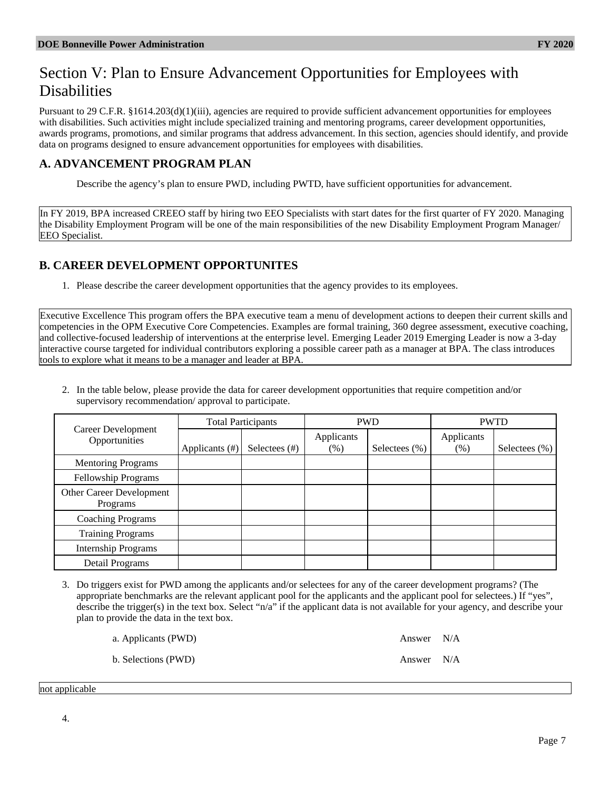# Section V: Plan to Ensure Advancement Opportunities for Employees with Disabilities

Pursuant to 29 C.F.R. §1614.203(d)(1)(iii), agencies are required to provide sufficient advancement opportunities for employees with disabilities. Such activities might include specialized training and mentoring programs, career development opportunities, awards programs, promotions, and similar programs that address advancement. In this section, agencies should identify, and provide data on programs designed to ensure advancement opportunities for employees with disabilities.

# **A. ADVANCEMENT PROGRAM PLAN**

Describe the agency's plan to ensure PWD, including PWTD, have sufficient opportunities for advancement.

In FY 2019, BPA increased CREEO staff by hiring two EEO Specialists with start dates for the first quarter of FY 2020. Managing the Disability Employment Program will be one of the main responsibilities of the new Disability Employment Program Manager/ EEO Specialist.

# **B. CAREER DEVELOPMENT OPPORTUNITES**

1. Please describe the career development opportunities that the agency provides to its employees.

Executive Excellence This program offers the BPA executive team a menu of development actions to deepen their current skills and competencies in the OPM Executive Core Competencies. Examples are formal training, 360 degree assessment, executive coaching, and collective-focused leadership of interventions at the enterprise level. Emerging Leader 2019 Emerging Leader is now a 3-day interactive course targeted for individual contributors exploring a possible career path as a manager at BPA. The class introduces tools to explore what it means to be a manager and leader at BPA.

2. In the table below, please provide the data for career development opportunities that require competition and/or supervisory recommendation/ approval to participate.

| Career Development<br>Opportunities  | <b>Total Participants</b> |                  | <b>PWD</b>            |                  | <b>PWTD</b>          |                   |
|--------------------------------------|---------------------------|------------------|-----------------------|------------------|----------------------|-------------------|
|                                      | Applicants (#)            | Selectees $(\#)$ | Applicants<br>$(\% )$ | Selectees $(\%)$ | Applicants<br>$(\%)$ | Selectees $(\% )$ |
| <b>Mentoring Programs</b>            |                           |                  |                       |                  |                      |                   |
| Fellowship Programs                  |                           |                  |                       |                  |                      |                   |
| Other Career Development<br>Programs |                           |                  |                       |                  |                      |                   |
| <b>Coaching Programs</b>             |                           |                  |                       |                  |                      |                   |
| <b>Training Programs</b>             |                           |                  |                       |                  |                      |                   |
| <b>Internship Programs</b>           |                           |                  |                       |                  |                      |                   |
| Detail Programs                      |                           |                  |                       |                  |                      |                   |

3. Do triggers exist for PWD among the applicants and/or selectees for any of the career development programs? (The appropriate benchmarks are the relevant applicant pool for the applicants and the applicant pool for selectees.) If "yes", describe the trigger(s) in the text box. Select "n/a" if the applicant data is not available for your agency, and describe your plan to provide the data in the text box.

| a. Applicants (PWD) | Answer N/A |  |
|---------------------|------------|--|
| b. Selections (PWD) | Answer N/A |  |

not applicable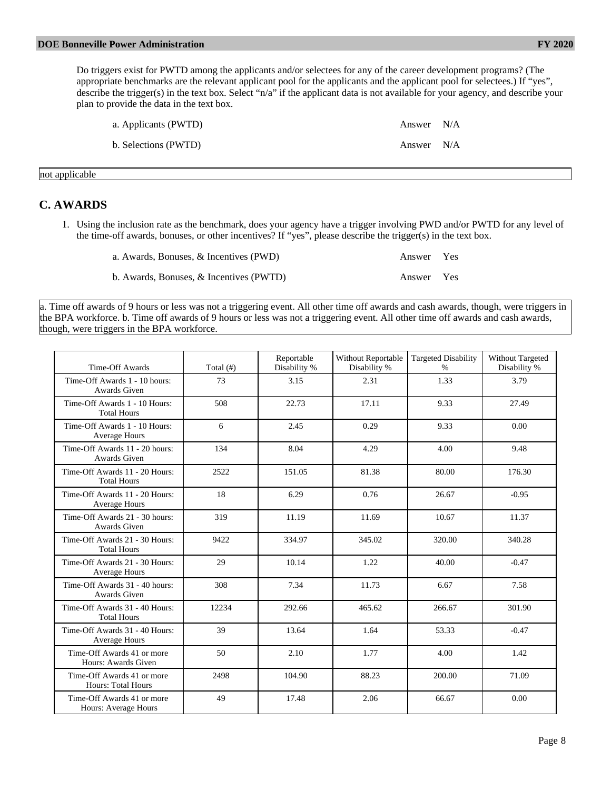Do triggers exist for PWTD among the applicants and/or selectees for any of the career development programs? (The appropriate benchmarks are the relevant applicant pool for the applicants and the applicant pool for selectees.) If "yes", describe the trigger(s) in the text box. Select "n/a" if the applicant data is not available for your agency, and describe your plan to provide the data in the text box.

| a. Applicants (PWTD) | Answer N/A |  |
|----------------------|------------|--|
| b. Selections (PWTD) | Answer N/A |  |

not applicable

## **C. AWARDS**

1. Using the inclusion rate as the benchmark, does your agency have a trigger involving PWD and/or PWTD for any level of the time-off awards, bonuses, or other incentives? If "yes", please describe the trigger(s) in the text box.

| a. Awards, Bonuses, & Incentives (PWD)  | Answer Yes |  |
|-----------------------------------------|------------|--|
| b. Awards, Bonuses, & Incentives (PWTD) | Answer Yes |  |

a. Time off awards of 9 hours or less was not a triggering event. All other time off awards and cash awards, though, were triggers in the BPA workforce. b. Time off awards of 9 hours or less was not a triggering event. All other time off awards and cash awards, though, were triggers in the BPA workforce.

| Time-Off Awards                                         | Total $($ # $)$ | Reportable<br>Disability % | <b>Without Reportable</b><br>Disability % | <b>Targeted Disability</b><br>$\frac{0}{0}$ | Without Targeted<br>Disability % |
|---------------------------------------------------------|-----------------|----------------------------|-------------------------------------------|---------------------------------------------|----------------------------------|
| Time-Off Awards 1 - 10 hours:<br>Awards Given           | 73              | 3.15                       | 2.31                                      | 1.33                                        | 3.79                             |
| Time-Off Awards 1 - 10 Hours:<br><b>Total Hours</b>     | 508             | 22.73                      | 17.11                                     | 9.33                                        | 27.49                            |
| Time-Off Awards 1 - 10 Hours:<br>Average Hours          | 6               | 2.45                       | 0.29                                      | 9.33                                        | 0.00                             |
| Time-Off Awards 11 - 20 hours:<br>Awards Given          | 134             | 8.04                       | 4.29                                      | 4.00                                        | 9.48                             |
| Time-Off Awards 11 - 20 Hours:<br><b>Total Hours</b>    | 2522            | 151.05                     | 81.38                                     | 80.00                                       | 176.30                           |
| Time-Off Awards 11 - 20 Hours:<br>Average Hours         | 18              | 6.29                       | 0.76                                      | 26.67                                       | $-0.95$                          |
| Time-Off Awards 21 - 30 hours:<br>Awards Given          | 319             | 11.19                      | 11.69                                     | 10.67                                       | 11.37                            |
| Time-Off Awards 21 - 30 Hours:<br><b>Total Hours</b>    | 9422            | 334.97                     | 345.02                                    | 320.00                                      | 340.28                           |
| Time-Off Awards 21 - 30 Hours:<br>Average Hours         | 29              | 10.14                      | 1.22                                      | 40.00                                       | $-0.47$                          |
| Time-Off Awards 31 - 40 hours:<br>Awards Given          | 308             | 7.34                       | 11.73                                     | 6.67                                        | 7.58                             |
| Time-Off Awards 31 - 40 Hours:<br><b>Total Hours</b>    | 12234           | 292.66                     | 465.62                                    | 266.67                                      | 301.90                           |
| Time-Off Awards 31 - 40 Hours:<br>Average Hours         | 39              | 13.64                      | 1.64                                      | 53.33                                       | $-0.47$                          |
| Time-Off Awards 41 or more<br>Hours: Awards Given       | 50              | 2.10                       | 1.77                                      | 4.00                                        | 1.42                             |
| Time-Off Awards 41 or more<br><b>Hours: Total Hours</b> | 2498            | 104.90                     | 88.23                                     | 200.00                                      | 71.09                            |
| Time-Off Awards 41 or more<br>Hours: Average Hours      | 49              | 17.48                      | 2.06                                      | 66.67                                       | 0.00                             |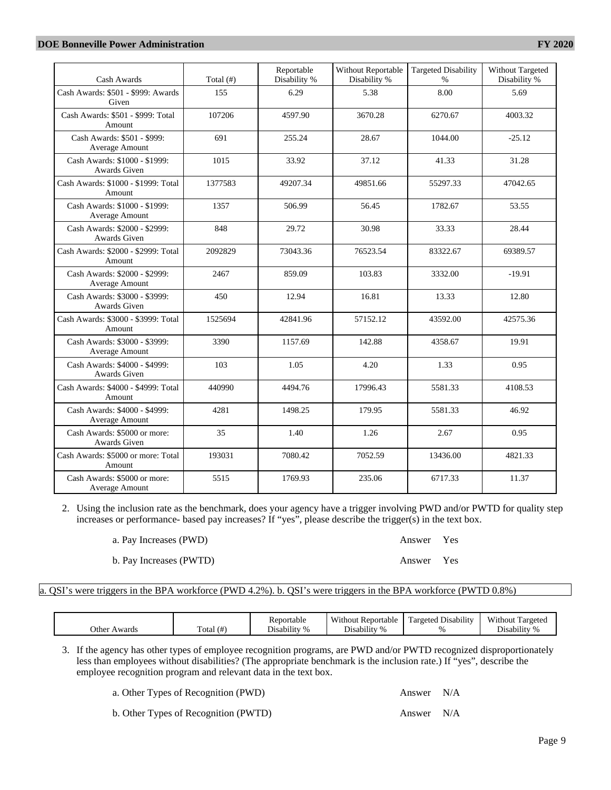### **DOE Bonneville Power Administration FY 2020**

| Cash Awards                                          | Total $($ # $)$ | Reportable<br>Disability % | <b>Without Reportable</b><br>Disability % | <b>Targeted Disability</b><br>$\frac{0}{0}$ | Without Targeted<br>Disability % |
|------------------------------------------------------|-----------------|----------------------------|-------------------------------------------|---------------------------------------------|----------------------------------|
| Cash Awards: \$501 - \$999: Awards<br>Given          | 155             | 6.29                       | 5.38                                      | 8.00                                        | 5.69                             |
| Cash Awards: \$501 - \$999: Total<br>Amount          | 107206          | 4597.90                    | 3670.28                                   | 6270.67                                     | 4003.32                          |
| Cash Awards: \$501 - \$999:<br>Average Amount        | 691             | 255.24                     | 28.67                                     | 1044.00                                     | $-25.12$                         |
| Cash Awards: \$1000 - \$1999:<br>Awards Given        | 1015            | 33.92                      | 37.12                                     | 41.33                                       | 31.28                            |
| Cash Awards: \$1000 - \$1999: Total<br>Amount        | 1377583         | 49207.34                   | 49851.66                                  | 55297.33                                    | 47042.65                         |
| Cash Awards: \$1000 - \$1999:<br>Average Amount      | 1357            | 506.99                     | 56.45                                     | 1782.67                                     | 53.55                            |
| Cash Awards: \$2000 - \$2999:<br><b>Awards Given</b> | 848             | 29.72                      | 30.98                                     | 33.33                                       | 28.44                            |
| Cash Awards: \$2000 - \$2999: Total<br>Amount        | 2092829         | 73043.36                   | 76523.54                                  | 83322.67                                    | 69389.57                         |
| Cash Awards: \$2000 - \$2999:<br>Average Amount      | 2467            | 859.09                     | 103.83                                    | 3332.00                                     | $-19.91$                         |
| Cash Awards: \$3000 - \$3999:<br>Awards Given        | 450             | 12.94                      | 16.81                                     | 13.33                                       | 12.80                            |
| Cash Awards: \$3000 - \$3999: Total<br>Amount        | 1525694         | 42841.96                   | 57152.12                                  | 43592.00                                    | 42575.36                         |
| Cash Awards: \$3000 - \$3999:<br>Average Amount      | 3390            | 1157.69                    | 142.88                                    | 4358.67                                     | 19.91                            |
| Cash Awards: \$4000 - \$4999:<br>Awards Given        | 103             | 1.05                       | 4.20                                      | 1.33                                        | 0.95                             |
| Cash Awards: \$4000 - \$4999: Total<br>Amount        | 440990          | 4494.76                    | 17996.43                                  | 5581.33                                     | 4108.53                          |
| Cash Awards: \$4000 - \$4999:<br>Average Amount      | 4281            | 1498.25                    | 179.95                                    | 5581.33                                     | 46.92                            |
| Cash Awards: \$5000 or more:<br>Awards Given         | 35              | 1.40                       | 1.26                                      | 2.67                                        | 0.95                             |
| Cash Awards: \$5000 or more: Total<br>Amount         | 193031          | 7080.42                    | 7052.59                                   | 13436.00                                    | 4821.33                          |
| Cash Awards: \$5000 or more:<br>Average Amount       | 5515            | 1769.93                    | 235.06                                    | 6717.33                                     | 11.37                            |

2. Using the inclusion rate as the benchmark, does your agency have a trigger involving PWD and/or PWTD for quality step increases or performance- based pay increases? If "yes", please describe the trigger(s) in the text box.

a. Pay Increases (PWD) Answer Yes

b. Pay Increases (PWTD) Answer Yes

## a. QSI's were triggers in the BPA workforce (PWD 4.2%). b. QSI's were triggers in the BPA workforce (PWTD 0.8%)

|                 |                | Reportable                     | Without .<br>Reportable             | .<br>-<br>Disability<br>l'argeted | Without<br>Fargeted                         |
|-----------------|----------------|--------------------------------|-------------------------------------|-----------------------------------|---------------------------------------------|
| Other<br>Awards | $($ #<br>Fotal | $\cdots$<br>$\%$<br>Disability | $\cdot$ .<br>$\Omega$<br>Disability |                                   | $\cdots$<br>÷.<br>Disability<br>$^{\prime}$ |

3. If the agency has other types of employee recognition programs, are PWD and/or PWTD recognized disproportionately less than employees without disabilities? (The appropriate benchmark is the inclusion rate.) If "yes", describe the employee recognition program and relevant data in the text box.

a. Other Types of Recognition (PWD) Answer N/A

b. Other Types of Recognition (PWTD) Answer N/A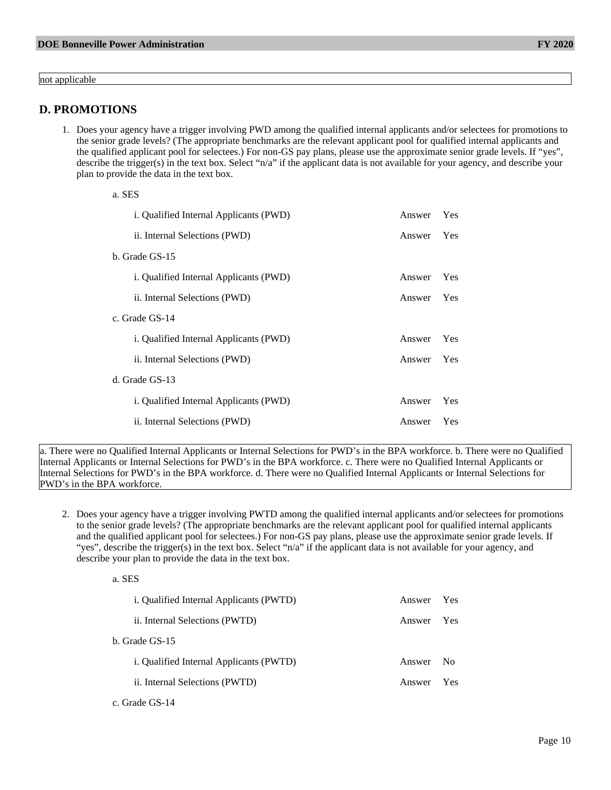not applicable

## **D. PROMOTIONS**

1. Does your agency have a trigger involving PWD among the qualified internal applicants and/or selectees for promotions to the senior grade levels? (The appropriate benchmarks are the relevant applicant pool for qualified internal applicants and the qualified applicant pool for selectees.) For non-GS pay plans, please use the approximate senior grade levels. If "yes", describe the trigger(s) in the text box. Select "n/a" if the applicant data is not available for your agency, and describe your plan to provide the data in the text box.

| a. SES                                 |        |     |
|----------------------------------------|--------|-----|
| i. Qualified Internal Applicants (PWD) | Answer | Yes |
| ii. Internal Selections (PWD)          | Answer | Yes |
| b. Grade GS-15                         |        |     |
| i. Qualified Internal Applicants (PWD) | Answer | Yes |
| ii. Internal Selections (PWD)          | Answer | Yes |
| c. Grade GS-14                         |        |     |
| i. Qualified Internal Applicants (PWD) | Answer | Yes |
| ii. Internal Selections (PWD)          | Answer | Yes |
| d. Grade GS-13                         |        |     |
| i. Qualified Internal Applicants (PWD) | Answer | Yes |
| ii. Internal Selections (PWD)          | Answer | Yes |

a. There were no Qualified Internal Applicants or Internal Selections for PWD's in the BPA workforce. b. There were no Qualified Internal Applicants or Internal Selections for PWD's in the BPA workforce. c. There were no Qualified Internal Applicants or Internal Selections for PWD's in the BPA workforce. d. There were no Qualified Internal Applicants or Internal Selections for PWD's in the BPA workforce.

2. Does your agency have a trigger involving PWTD among the qualified internal applicants and/or selectees for promotions to the senior grade levels? (The appropriate benchmarks are the relevant applicant pool for qualified internal applicants and the qualified applicant pool for selectees.) For non-GS pay plans, please use the approximate senior grade levels. If "yes", describe the trigger(s) in the text box. Select "n/a" if the applicant data is not available for your agency, and describe your plan to provide the data in the text box.

| i. Qualified Internal Applicants (PWTD)        | Answer | <b>Yes</b>     |
|------------------------------------------------|--------|----------------|
| ii. Internal Selections (PWTD)                 | Answer | <b>Yes</b>     |
| b. Grade GS-15                                 |        |                |
| <i>i.</i> Qualified Internal Applicants (PWTD) | Answer | N <sub>0</sub> |
| ii. Internal Selections (PWTD)                 | Answer | <b>Yes</b>     |
|                                                |        |                |

c. Grade GS-14

a. SES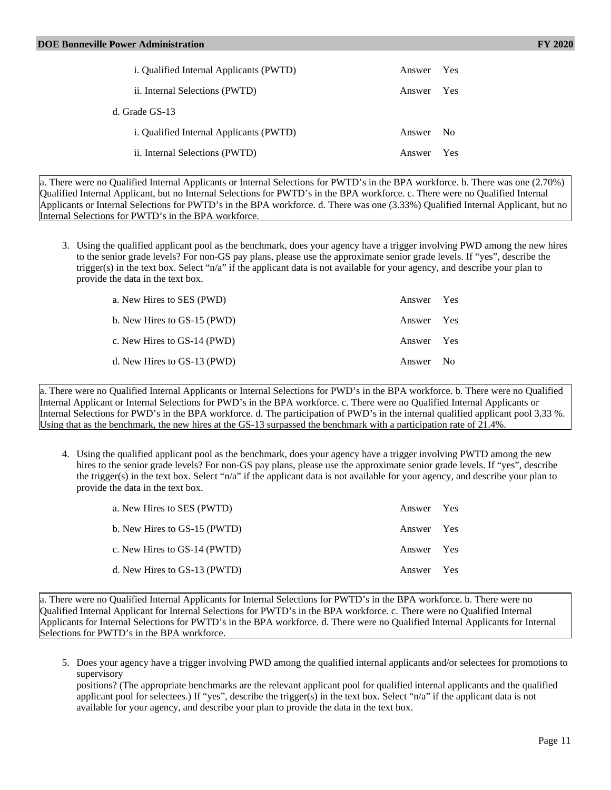| <i>i.</i> Qualified Internal Applicants (PWTD) | Answer | <b>Yes</b>   |
|------------------------------------------------|--------|--------------|
| ii. Internal Selections (PWTD)                 | Answer | <b>Yes</b>   |
| d. Grade GS-13                                 |        |              |
| <i>i.</i> Qualified Internal Applicants (PWTD) | Answer | $N_{\Omega}$ |
| ii. Internal Selections (PWTD)                 | Answer | Yes          |

a. There were no Qualified Internal Applicants or Internal Selections for PWTD's in the BPA workforce. b. There was one (2.70%) Qualified Internal Applicant, but no Internal Selections for PWTD's in the BPA workforce. c. There were no Qualified Internal Applicants or Internal Selections for PWTD's in the BPA workforce. d. There was one (3.33%) Qualified Internal Applicant, but no Internal Selections for PWTD's in the BPA workforce.

3. Using the qualified applicant pool as the benchmark, does your agency have a trigger involving PWD among the new hires to the senior grade levels? For non-GS pay plans, please use the approximate senior grade levels. If "yes", describe the trigger(s) in the text box. Select "n/a" if the applicant data is not available for your agency, and describe your plan to provide the data in the text box.

| a. New Hires to SES (PWD)   | Answer Yes |  |
|-----------------------------|------------|--|
| b. New Hires to GS-15 (PWD) | Answer Yes |  |
| c. New Hires to GS-14 (PWD) | Answer Yes |  |
| d. New Hires to GS-13 (PWD) | Answer No  |  |

a. There were no Qualified Internal Applicants or Internal Selections for PWD's in the BPA workforce. b. There were no Qualified Internal Applicant or Internal Selections for PWD's in the BPA workforce. c. There were no Qualified Internal Applicants or Internal Selections for PWD's in the BPA workforce. d. The participation of PWD's in the internal qualified applicant pool 3.33 %. Using that as the benchmark, the new hires at the GS-13 surpassed the benchmark with a participation rate of 21.4%.

4. Using the qualified applicant pool as the benchmark, does your agency have a trigger involving PWTD among the new hires to the senior grade levels? For non-GS pay plans, please use the approximate senior grade levels. If "yes", describe the trigger(s) in the text box. Select " $n/a$ " if the applicant data is not available for your agency, and describe your plan to provide the data in the text box.

| a. New Hires to SES (PWTD)   | Answer Yes |  |
|------------------------------|------------|--|
| b. New Hires to GS-15 (PWTD) | Answer Yes |  |
| c. New Hires to GS-14 (PWTD) | Answer Yes |  |
| d. New Hires to GS-13 (PWTD) | Answer Yes |  |

a. There were no Qualified Internal Applicants for Internal Selections for PWTD's in the BPA workforce. b. There were no Qualified Internal Applicant for Internal Selections for PWTD's in the BPA workforce. c. There were no Qualified Internal Applicants for Internal Selections for PWTD's in the BPA workforce. d. There were no Qualified Internal Applicants for Internal Selections for PWTD's in the BPA workforce.

5. Does your agency have a trigger involving PWD among the qualified internal applicants and/or selectees for promotions to supervisory

positions? (The appropriate benchmarks are the relevant applicant pool for qualified internal applicants and the qualified applicant pool for selectees.) If "yes", describe the trigger(s) in the text box. Select "n/a" if the applicant data is not available for your agency, and describe your plan to provide the data in the text box.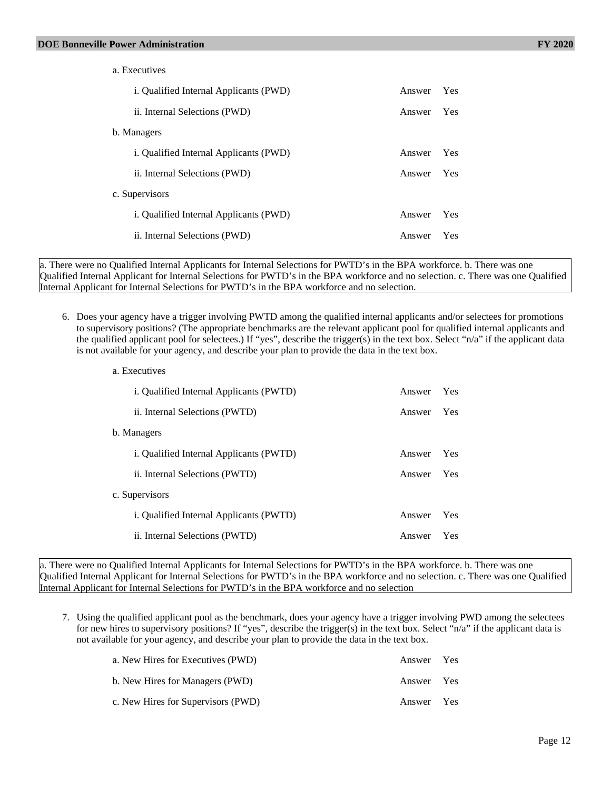| a. Executives                                 |        |     |
|-----------------------------------------------|--------|-----|
| <i>i.</i> Qualified Internal Applicants (PWD) | Answer | Yes |
| ii. Internal Selections (PWD)                 | Answer | Yes |
| b. Managers                                   |        |     |
| <i>i.</i> Qualified Internal Applicants (PWD) | Answer | Yes |
| ii. Internal Selections (PWD)                 | Answer | Yes |
| c. Supervisors                                |        |     |
| i. Qualified Internal Applicants (PWD)        | Answer | Yes |
| ii. Internal Selections (PWD)                 | Answer | Yes |
|                                               |        |     |

a. There were no Qualified Internal Applicants for Internal Selections for PWTD's in the BPA workforce. b. There was one Qualified Internal Applicant for Internal Selections for PWTD's in the BPA workforce and no selection. c. There was one Qualified Internal Applicant for Internal Selections for PWTD's in the BPA workforce and no selection.

6. Does your agency have a trigger involving PWTD among the qualified internal applicants and/or selectees for promotions to supervisory positions? (The appropriate benchmarks are the relevant applicant pool for qualified internal applicants and the qualified applicant pool for selectees.) If "yes", describe the trigger(s) in the text box. Select "n/a" if the applicant data is not available for your agency, and describe your plan to provide the data in the text box.

| a. Executives                                  |        |     |
|------------------------------------------------|--------|-----|
| i. Qualified Internal Applicants (PWTD)        | Answer | Yes |
| ii. Internal Selections (PWTD)                 | Answer | Yes |
| b. Managers                                    |        |     |
| <i>i.</i> Qualified Internal Applicants (PWTD) | Answer | Yes |
| ii. Internal Selections (PWTD)                 | Answer | Yes |
| c. Supervisors                                 |        |     |
| <i>i.</i> Qualified Internal Applicants (PWTD) | Answer | Yes |
| ii. Internal Selections (PWTD)                 | Answer | Yes |

a. There were no Qualified Internal Applicants for Internal Selections for PWTD's in the BPA workforce. b. There was one Qualified Internal Applicant for Internal Selections for PWTD's in the BPA workforce and no selection. c. There was one Qualified Internal Applicant for Internal Selections for PWTD's in the BPA workforce and no selection

7. Using the qualified applicant pool as the benchmark, does your agency have a trigger involving PWD among the selectees for new hires to supervisory positions? If "yes", describe the trigger(s) in the text box. Select "n/a" if the applicant data is not available for your agency, and describe your plan to provide the data in the text box.

| a. New Hires for Executives (PWD)  | Answer Yes |  |
|------------------------------------|------------|--|
| b. New Hires for Managers (PWD)    | Answer Yes |  |
| c. New Hires for Supervisors (PWD) | Answer Yes |  |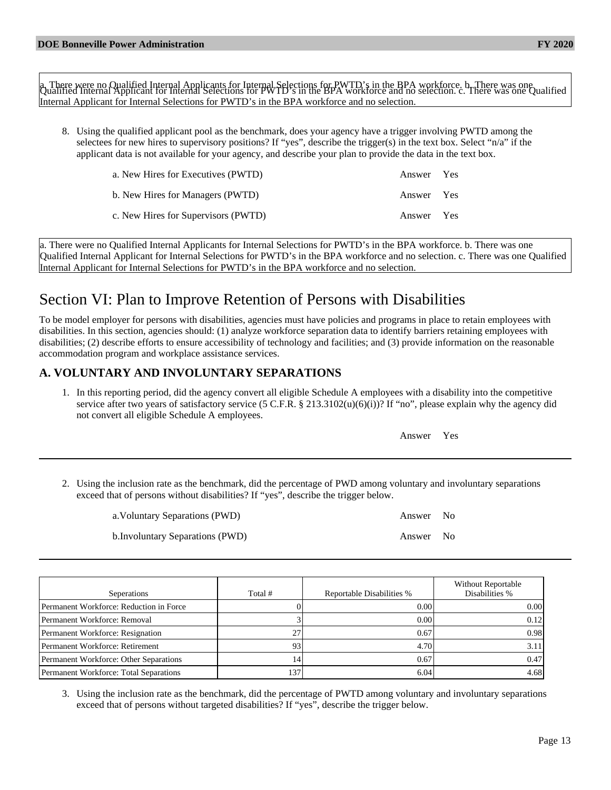a There were no Qualified Internal Applicants for Internal Selections for PWTD's in the BPA workforce, b. There was one<br>Qualified Internal Applicant for Internal Selections for PWTD's in the BPA workforce and no selection, Internal Applicant for Internal Selections for PWTD's in the BPA workforce and no selection.

8. Using the qualified applicant pool as the benchmark, does your agency have a trigger involving PWTD among the selectees for new hires to supervisory positions? If "yes", describe the trigger(s) in the text box. Select "n/a" if the applicant data is not available for your agency, and describe your plan to provide the data in the text box.

| a. New Hires for Executives (PWTD)  | Answer Yes |  |
|-------------------------------------|------------|--|
| b. New Hires for Managers (PWTD)    | Answer Yes |  |
| c. New Hires for Supervisors (PWTD) | Answer Yes |  |

a. There were no Qualified Internal Applicants for Internal Selections for PWTD's in the BPA workforce. b. There was one Qualified Internal Applicant for Internal Selections for PWTD's in the BPA workforce and no selection. c. There was one Qualified Internal Applicant for Internal Selections for PWTD's in the BPA workforce and no selection.

# Section VI: Plan to Improve Retention of Persons with Disabilities

To be model employer for persons with disabilities, agencies must have policies and programs in place to retain employees with disabilities. In this section, agencies should: (1) analyze workforce separation data to identify barriers retaining employees with disabilities; (2) describe efforts to ensure accessibility of technology and facilities; and (3) provide information on the reasonable accommodation program and workplace assistance services.

# **A. VOLUNTARY AND INVOLUNTARY SEPARATIONS**

1. In this reporting period, did the agency convert all eligible Schedule A employees with a disability into the competitive service after two years of satisfactory service (5 C.F.R.  $\S$  213.3102(u)(6)(i))? If "no", please explain why the agency did not convert all eligible Schedule A employees.

| Answer |
|--------|
|        |

2. Using the inclusion rate as the benchmark, did the percentage of PWD among voluntary and involuntary separations exceed that of persons without disabilities? If "yes", describe the trigger below.

| a. Voluntary Separations (PWD)   | Answer No |  |
|----------------------------------|-----------|--|
| b. Involuntary Separations (PWD) | Answer No |  |

| Seperations                             | Total # | Reportable Disabilities % | <b>Without Reportable</b><br>Disabilities % |
|-----------------------------------------|---------|---------------------------|---------------------------------------------|
| Permanent Workforce: Reduction in Force |         | 0.00                      | 0.001                                       |
| Permanent Workforce: Removal            |         | 0.00                      | 0.12                                        |
| Permanent Workforce: Resignation        |         | 0.67                      | 0.98                                        |
| Permanent Workforce: Retirement         | 93      | 4.70                      | 3.11                                        |
| Permanent Workforce: Other Separations  | 14      | 0.67                      | 0.47                                        |
| Permanent Workforce: Total Separations  | 137     | 6.04                      | 4.68                                        |

3. Using the inclusion rate as the benchmark, did the percentage of PWTD among voluntary and involuntary separations exceed that of persons without targeted disabilities? If "yes", describe the trigger below.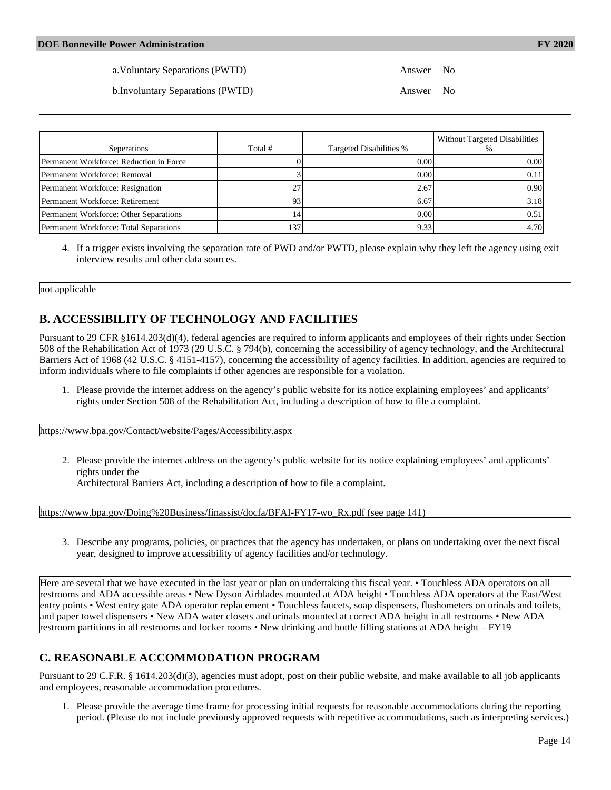b.Involuntary Separations (PWTD) Answer No

| Seperations                             | Total # | Targeted Disabilities % | Without Targeted Disabilities<br>% |
|-----------------------------------------|---------|-------------------------|------------------------------------|
| Permanent Workforce: Reduction in Force |         | 0.00                    | 0.00                               |
| Permanent Workforce: Removal            |         | 0.00                    | 0.11                               |
| Permanent Workforce: Resignation        | 27      | 2.67                    | 0.90 <sub>l</sub>                  |
| Permanent Workforce: Retirement         | 93      | 6.67                    | 3.18                               |
| Permanent Workforce: Other Separations  | 14      | 0.00                    | 0.51                               |
| Permanent Workforce: Total Separations  | 137     | 9.33                    | 4.70                               |

4. If a trigger exists involving the separation rate of PWD and/or PWTD, please explain why they left the agency using exit interview results and other data sources.

#### not applicable

# **B. ACCESSIBILITY OF TECHNOLOGY AND FACILITIES**

Pursuant to 29 CFR §1614.203(d)(4), federal agencies are required to inform applicants and employees of their rights under Section 508 of the Rehabilitation Act of 1973 (29 U.S.C. § 794(b), concerning the accessibility of agency technology, and the Architectural Barriers Act of 1968 (42 U.S.C. § 4151-4157), concerning the accessibility of agency facilities. In addition, agencies are required to inform individuals where to file complaints if other agencies are responsible for a violation.

1. Please provide the internet address on the agency's public website for its notice explaining employees' and applicants' rights under Section 508 of the Rehabilitation Act, including a description of how to file a complaint.

<https://www.bpa.gov/Contact/website/Pages/Accessibility.aspx>

2. Please provide the internet address on the agency's public website for its notice explaining employees' and applicants' rights under the

Architectural Barriers Act, including a description of how to file a complaint.

[https://www.bpa.gov/Doing%20Business/finassist/docfa/BFAI-FY17-wo\\_Rx.pdf \(see page 141\)](https://www.bpa.gov/Doing%20Business/finassist/docfa/BFAI-FY17-wo_Rx.pdf (see page 141))

3. Describe any programs, policies, or practices that the agency has undertaken, or plans on undertaking over the next fiscal year, designed to improve accessibility of agency facilities and/or technology.

Here are several that we have executed in the last year or plan on undertaking this fiscal year. • Touchless ADA operators on all restrooms and ADA accessible areas • New Dyson Airblades mounted at ADA height • Touchless ADA operators at the East/West entry points • West entry gate ADA operator replacement • Touchless faucets, soap dispensers, flushometers on urinals and toilets, and paper towel dispensers • New ADA water closets and urinals mounted at correct ADA height in all restrooms • New ADA restroom partitions in all restrooms and locker rooms • New drinking and bottle filling stations at ADA height – FY19

# **C. REASONABLE ACCOMMODATION PROGRAM**

Pursuant to 29 C.F.R. § 1614.203(d)(3), agencies must adopt, post on their public website, and make available to all job applicants and employees, reasonable accommodation procedures.

1. Please provide the average time frame for processing initial requests for reasonable accommodations during the reporting period. (Please do not include previously approved requests with repetitive accommodations, such as interpreting services.)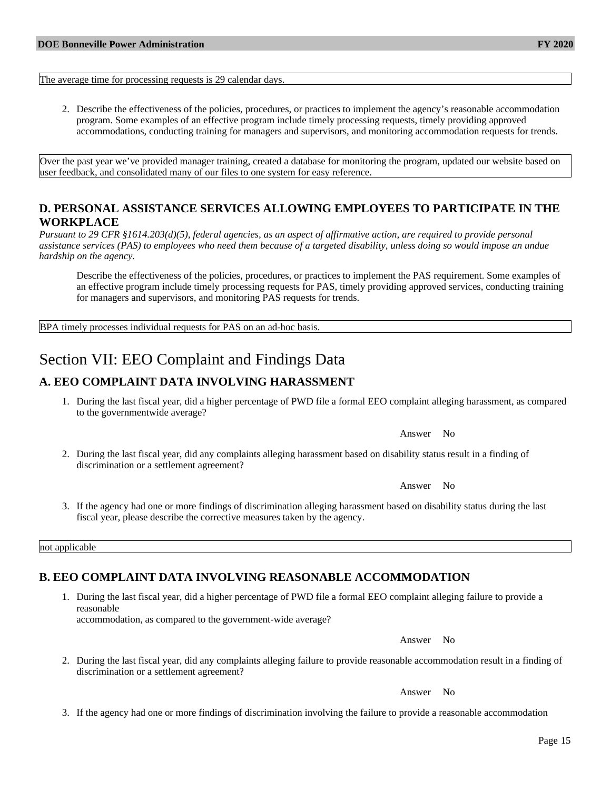The average time for processing requests is 29 calendar days.

2. Describe the effectiveness of the policies, procedures, or practices to implement the agency's reasonable accommodation program. Some examples of an effective program include timely processing requests, timely providing approved accommodations, conducting training for managers and supervisors, and monitoring accommodation requests for trends.

Over the past year we've provided manager training, created a database for monitoring the program, updated our website based on user feedback, and consolidated many of our files to one system for easy reference.

## **D. PERSONAL ASSISTANCE SERVICES ALLOWING EMPLOYEES TO PARTICIPATE IN THE WORKPLACE**

*Pursuant to 29 CFR §1614.203(d)(5), federal agencies, as an aspect of affirmative action, are required to provide personal assistance services (PAS) to employees who need them because of a targeted disability, unless doing so would impose an undue hardship on the agency.*

Describe the effectiveness of the policies, procedures, or practices to implement the PAS requirement. Some examples of an effective program include timely processing requests for PAS, timely providing approved services, conducting training for managers and supervisors, and monitoring PAS requests for trends.

BPA timely processes individual requests for PAS on an ad-hoc basis.

# Section VII: EEO Complaint and Findings Data

## **A. EEO COMPLAINT DATA INVOLVING HARASSMENT**

1. During the last fiscal year, did a higher percentage of PWD file a formal EEO complaint alleging harassment, as compared to the governmentwide average?

Answer No

2. During the last fiscal year, did any complaints alleging harassment based on disability status result in a finding of discrimination or a settlement agreement?

Answer No

3. If the agency had one or more findings of discrimination alleging harassment based on disability status during the last fiscal year, please describe the corrective measures taken by the agency.

not applicable

## **B. EEO COMPLAINT DATA INVOLVING REASONABLE ACCOMMODATION**

1. During the last fiscal year, did a higher percentage of PWD file a formal EEO complaint alleging failure to provide a reasonable

accommodation, as compared to the government-wide average?

Answer No

2. During the last fiscal year, did any complaints alleging failure to provide reasonable accommodation result in a finding of discrimination or a settlement agreement?

Answer No

3. If the agency had one or more findings of discrimination involving the failure to provide a reasonable accommodation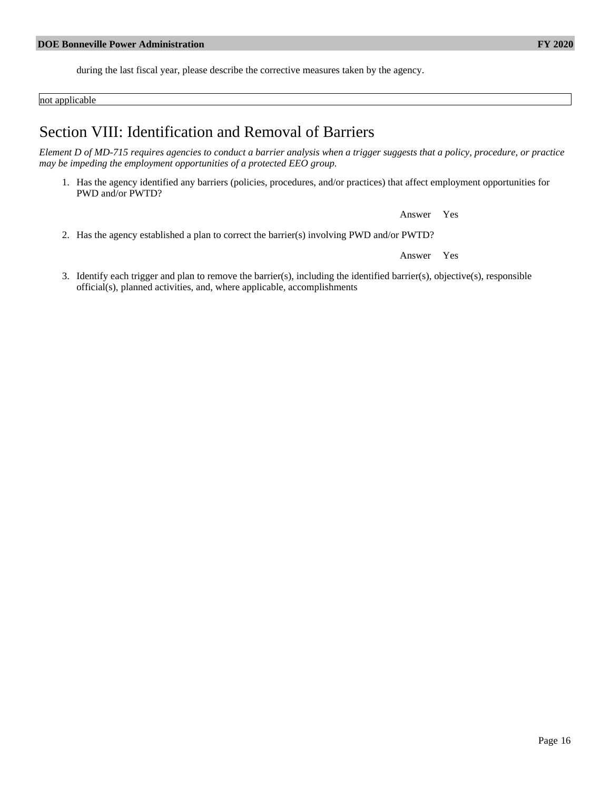during the last fiscal year, please describe the corrective measures taken by the agency.

not applicable

# Section VIII: Identification and Removal of Barriers

*Element D of MD-715 requires agencies to conduct a barrier analysis when a trigger suggests that a policy, procedure, or practice may be impeding the employment opportunities of a protected EEO group.*

1. Has the agency identified any barriers (policies, procedures, and/or practices) that affect employment opportunities for PWD and/or PWTD?

Answer Yes

2. Has the agency established a plan to correct the barrier(s) involving PWD and/or PWTD?

Answer Yes

3. Identify each trigger and plan to remove the barrier(s), including the identified barrier(s), objective(s), responsible official(s), planned activities, and, where applicable, accomplishments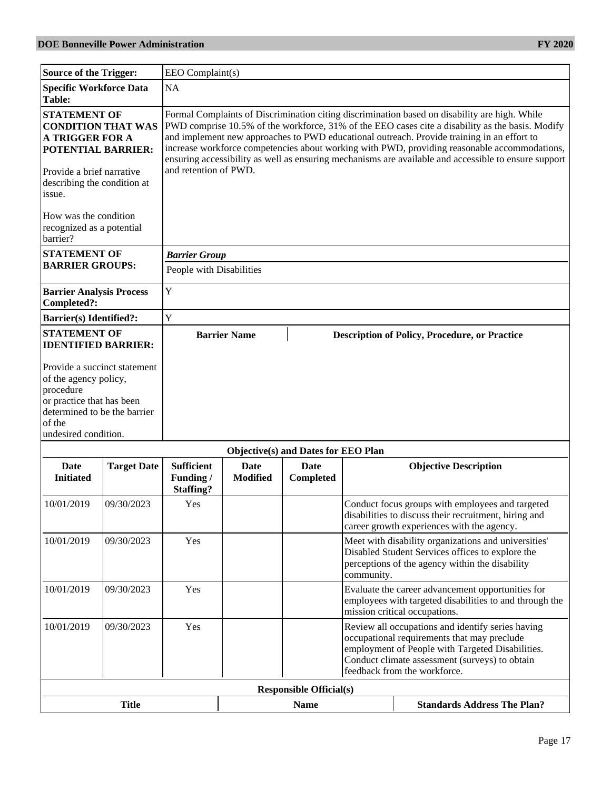| <b>Source of the Trigger:</b>                                                                                                                    |                              | EEO Complaint(s)                                   |                                |                                     |                                                                                                                                                                                                                                        |                                                                                                                                                                                                                                                                                                                                                                                                                                                                                                         |  |  |
|--------------------------------------------------------------------------------------------------------------------------------------------------|------------------------------|----------------------------------------------------|--------------------------------|-------------------------------------|----------------------------------------------------------------------------------------------------------------------------------------------------------------------------------------------------------------------------------------|---------------------------------------------------------------------------------------------------------------------------------------------------------------------------------------------------------------------------------------------------------------------------------------------------------------------------------------------------------------------------------------------------------------------------------------------------------------------------------------------------------|--|--|
| Specific Workforce Data<br><b>Table:</b>                                                                                                         |                              | NA                                                 |                                |                                     |                                                                                                                                                                                                                                        |                                                                                                                                                                                                                                                                                                                                                                                                                                                                                                         |  |  |
| <b>STATEMENT OF</b><br><b>A TRIGGER FOR A</b><br><b>POTENTIAL BARRIER:</b><br>Provide a brief narrative<br>describing the condition at<br>issue. | <b>CONDITION THAT WAS</b>    | and retention of PWD.                              |                                |                                     |                                                                                                                                                                                                                                        | Formal Complaints of Discrimination citing discrimination based on disability are high. While<br>PWD comprise 10.5% of the workforce, 31% of the EEO cases cite a disability as the basis. Modify<br>and implement new approaches to PWD educational outreach. Provide training in an effort to<br>increase workforce competencies about working with PWD, providing reasonable accommodations,<br>ensuring accessibility as well as ensuring mechanisms are available and accessible to ensure support |  |  |
| How was the condition<br>recognized as a potential<br>barrier?                                                                                   |                              |                                                    |                                |                                     |                                                                                                                                                                                                                                        |                                                                                                                                                                                                                                                                                                                                                                                                                                                                                                         |  |  |
| <b>STATEMENT OF</b>                                                                                                                              |                              | <b>Barrier Group</b>                               |                                |                                     |                                                                                                                                                                                                                                        |                                                                                                                                                                                                                                                                                                                                                                                                                                                                                                         |  |  |
| <b>BARRIER GROUPS:</b>                                                                                                                           |                              | People with Disabilities                           |                                |                                     |                                                                                                                                                                                                                                        |                                                                                                                                                                                                                                                                                                                                                                                                                                                                                                         |  |  |
| <b>Barrier Analysis Process</b><br>Completed?:                                                                                                   |                              | $\mathbf Y$                                        |                                |                                     |                                                                                                                                                                                                                                        |                                                                                                                                                                                                                                                                                                                                                                                                                                                                                                         |  |  |
| <b>Barrier(s)</b> Identified?:                                                                                                                   |                              | Y                                                  |                                |                                     |                                                                                                                                                                                                                                        |                                                                                                                                                                                                                                                                                                                                                                                                                                                                                                         |  |  |
| <b>STATEMENT OF</b><br><b>IDENTIFIED BARRIER:</b>                                                                                                |                              |                                                    | <b>Barrier Name</b>            |                                     |                                                                                                                                                                                                                                        | <b>Description of Policy, Procedure, or Practice</b>                                                                                                                                                                                                                                                                                                                                                                                                                                                    |  |  |
| of the agency policy,<br>procedure<br>or practice that has been<br>determined to be the barrier<br>of the<br>undesired condition.                | Provide a succinct statement |                                                    |                                |                                     |                                                                                                                                                                                                                                        |                                                                                                                                                                                                                                                                                                                                                                                                                                                                                                         |  |  |
|                                                                                                                                                  |                              |                                                    |                                | Objective(s) and Dates for EEO Plan |                                                                                                                                                                                                                                        |                                                                                                                                                                                                                                                                                                                                                                                                                                                                                                         |  |  |
| Date<br><b>Initiated</b>                                                                                                                         | <b>Target Date</b>           | <b>Sufficient</b><br>Funding /<br><b>Staffing?</b> | <b>Date</b><br><b>Modified</b> | Date<br>Completed                   |                                                                                                                                                                                                                                        | <b>Objective Description</b>                                                                                                                                                                                                                                                                                                                                                                                                                                                                            |  |  |
| 10/01/2019                                                                                                                                       | 09/30/2023                   | Yes                                                |                                |                                     |                                                                                                                                                                                                                                        | Conduct focus groups with employees and targeted<br>disabilities to discuss their recruitment, hiring and<br>career growth experiences with the agency.                                                                                                                                                                                                                                                                                                                                                 |  |  |
| 10/01/2019                                                                                                                                       | 09/30/2023                   | Yes                                                |                                |                                     | community.                                                                                                                                                                                                                             | Meet with disability organizations and universities'<br>Disabled Student Services offices to explore the<br>perceptions of the agency within the disability                                                                                                                                                                                                                                                                                                                                             |  |  |
| 10/01/2019                                                                                                                                       | 09/30/2023                   | Yes                                                |                                |                                     |                                                                                                                                                                                                                                        | Evaluate the career advancement opportunities for<br>employees with targeted disabilities to and through the<br>mission critical occupations.                                                                                                                                                                                                                                                                                                                                                           |  |  |
| 10/01/2019                                                                                                                                       | 09/30/2023                   | Yes                                                |                                |                                     | Review all occupations and identify series having<br>occupational requirements that may preclude<br>employment of People with Targeted Disabilities.<br>Conduct climate assessment (surveys) to obtain<br>feedback from the workforce. |                                                                                                                                                                                                                                                                                                                                                                                                                                                                                                         |  |  |
|                                                                                                                                                  |                              |                                                    |                                | <b>Responsible Official(s)</b>      |                                                                                                                                                                                                                                        |                                                                                                                                                                                                                                                                                                                                                                                                                                                                                                         |  |  |
|                                                                                                                                                  | <b>Title</b>                 |                                                    |                                | <b>Name</b>                         |                                                                                                                                                                                                                                        | <b>Standards Address The Plan?</b>                                                                                                                                                                                                                                                                                                                                                                                                                                                                      |  |  |